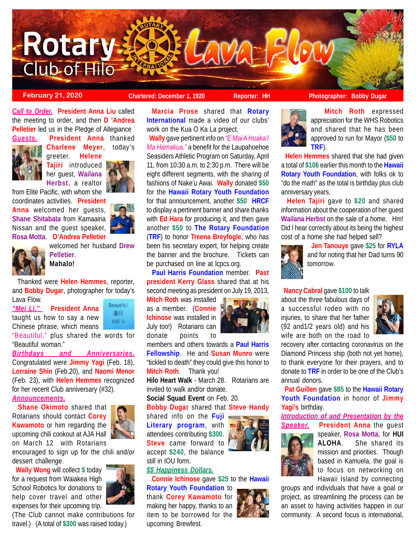

# **February 21, 2020 Chartered: December 1, 1920 Reporter: HH** Photographer: Bobby Dugar

*Call to Order.* **President Anna Liu** called the meeting to order, and then **D 'Andrea Pelletier** led us in the Pledge of Allegiance



*Guests.* **President Anna** thanked **Charlene Meyer**, today's greeter. **Helene**

> **Tajiri** introduced her guest, **Wailana Herbst**, a realtor



from Elite Pacific, with whom she

coordinates activities. **President Anna** welcomed her guests, **Shane Shitabata** from Kamaaina Nissan and the guest speaker, **Rosa Motta**. **D'Andrea Pelletier**



welcomed her husband **Drew Pelletier**. **Mahalo!**

 Thanked were **Helen Hemmes**, reporter, and **Bobby Dugar**, photographer for today's Lava Flow.

*"Mei Lì."* **President Anna** taught us how to say a new Chinese phrase, which means



"Beautiful," plus shared the words for "Beautiful woman."

*Birthdays and Anniversaries.* Congratulated were **Jimmy Yagi** (Feb. 18), **Lorraine Shin** (Feb.20), and **Naomi Menor** (Feb. 23), with **Helen Hemmes** recognized for her recent Club anniversary (#32).

*Announcements.*

 **Shane Okimoto** shared that Rotarians should contact **Corey Kawamoto** or him regarding the upcoming chili cookout at AJA Hall on March 12 with Rotarians

encouraged to sign up for the chili and/or dessert challenge.

 **Wally Wong** will collect **\$** today for a request from Waiakea High School Robotics for donations to help cover travel and other expenses for their upcoming trip.



(The Club cannot make contributions for travel.) (A total of **\$300** was raised today.)

**Marcia Prose** shared that **Rotary International** made a video of our clubs' work on the Kua O Ka La project.

 **Wally** gave pertinent info on *"E Mai A Huaka'I Ma Hamakua,"* a benefit for the Laupahoehoe Seasiders Athletic Program on Saturday, April 11, from 10:30 a.m. to 2:30 p.m. There will be eight different segments, with the sharing of fashions of Nake'u Awai. **Wally** donated **\$50** for the **Hawaii Rotary Youth Foundation** for that announcement, another **\$50 HRCF** to display a pertinent banner and share thanks with **Ed Hara** for producing it, and then gave another **\$50** to **The Rotary Foundation** (**TRF**) to honor **Treena Breyfogle**, who has been his secretary expert, for helping create the banner and the brochure. Tickets can be purchased on line at lcpcs.org.

 **Paul Harris Foundation** member. **Past president Kerry Glass** shared that at his second meeting as president on July 19, 2013,

**Mitch Roth** was installed as a member. (**Connie Ichinose** was installed in July too!) Rotarians can donate points to



members and others towards a **Paul Harris Fellowship**. He and **Susan Munro** were "tickled to death" they could give this honor to **Mitch Roth**. Thank you!

**Hilo Heart Walk** - March 28. Rotarians are invited to walk and/or donate.

**Social Squad Event** on Feb. 20.

**Bobby Dugar** shared that **Steve Handy**

shared info on the **Fuji Literary program**, with still in IOU form.

*\$\$ Happiness Dollars.*

**Connie Ichinose** gave **\$25** to the **Hawaii**

upcoming Brewfest.



 **Mitch Roth** expressed appreciation for the WHS Robotics and shared that he has been approved to run for Mayor (**\$50** to **TRF**).

 **Helen Hemmes** shared that she had given a total of **\$106** earlier this month to the **Hawaii Rotary Youth Foundation**, with folks ok to "do the math" as the total is birthday plus club anniversary years.

 **Helen Tajiri** gave to **\$20** and shared information about the cooperation of her guest **Wailana Herbst** on the sale of a home. Hm! Did I hear correctly about its being the highest cost of a home she had helped sell?



**Jen Tanouye** gave **\$25** for **RYLA**

and for noting that her Dad turns 90 tomorrow.

# **Nancy Cabral** gave **\$100** to talk

about the three fabulous days of a successful rodeo with no injuries, to share that her father (92 and1/2 years old) and his wife are both on the road to



recovery after contacting coronavirus on the Diamond Princess ship (both not yet home), to thank everyone for their prayers, and to donate to **TRF** in order to be one of the Club's annual donors.

 **Pat Guillen** gave **\$85** to the **Hawaii Rotary Youth Foundation** in honor of **Jimmy Yagi's** birthday.

*Introduction of and Presentation by the Speaker.* **President Anna** the guest



speaker, **Rosa Motta**, for **HUI ALOHA**. She shared its mission and priorities. Though based in Kamuela, the goal is to focus on networking on Hawaii Island by connecting

groups and individuals that have a goal or project, as streamlining the process can be an asset to having activities happen in our community. A second focus is international,



attendees contributing **\$300**. **Steve** came forward to accept **\$240**, the balance

**Rotary Youth Foundation** to

thank **Corey Kawamoto** for making her happy, thanks to an item to be borrowed for the